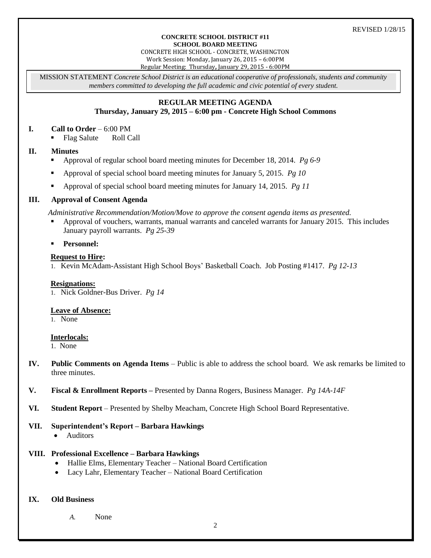#### **CONCRETE SCHOOL DISTRICT #11 SCHOOL BOARD MEETING**

CONCRETE HIGH SCHOOL - CONCRETE, WASHINGTON Work Session: Monday, January 26, 2015 – 6:00PM Regular Meeting: Thursday**,** January 29, 2015 - 6:00PM

MISSION STATEMENT *Concrete School District is an educational cooperative of professionals, students and community members committed to developing the full academic and civic potential of every student.*

# **REGULAR MEETING AGENDA**

## **Thursday, January 29, 2015 – 6:00 pm - Concrete High School Commons**

### **I. Call to Order** – 6:00 PM

• Flag Salute Roll Call

### **II. Minutes**

- Approval of regular school board meeting minutes for December 18, 2014. *Pg 6-9*
- Approval of special school board meeting minutes for January 5, 2015. *Pg 10*
- Approval of special school board meeting minutes for January 14, 2015. *Pg 11*

### **III. Approval of Consent Agenda**

*Administrative Recommendation/Motion/Move to approve the consent agenda items as presented.*

 Approval of vouchers, warrants, manual warrants and canceled warrants for January 2015. This includes January payroll warrants. *Pg 25-39*

**Personnel:**

#### **Request to Hire:**

1. Kevin McAdam-Assistant High School Boys' Basketball Coach. Job Posting #1417. *Pg 12-13*

#### **Resignations:**

1. Nick Goldner-Bus Driver. *Pg 14*

#### **Leave of Absence:**

1. None

### **Interlocals:**

1. None

- **IV. Public Comments on Agenda Items** Public is able to address the school board. We ask remarks be limited to three minutes.
- **V. Fiscal & Enrollment Reports –** Presented by Danna Rogers, Business Manager. *Pg 14A-14F*
- **VI. Student Report** Presented by Shelby Meacham, Concrete High School Board Representative.

#### **VII. Superintendent's Report – Barbara Hawkings**

• Auditors

#### **VIII. Professional Excellence – Barbara Hawkings**

- Hallie Elms, Elementary Teacher National Board Certification
- Lacy Lahr, Elementary Teacher National Board Certification

#### **IX. Old Business**

*A.* None